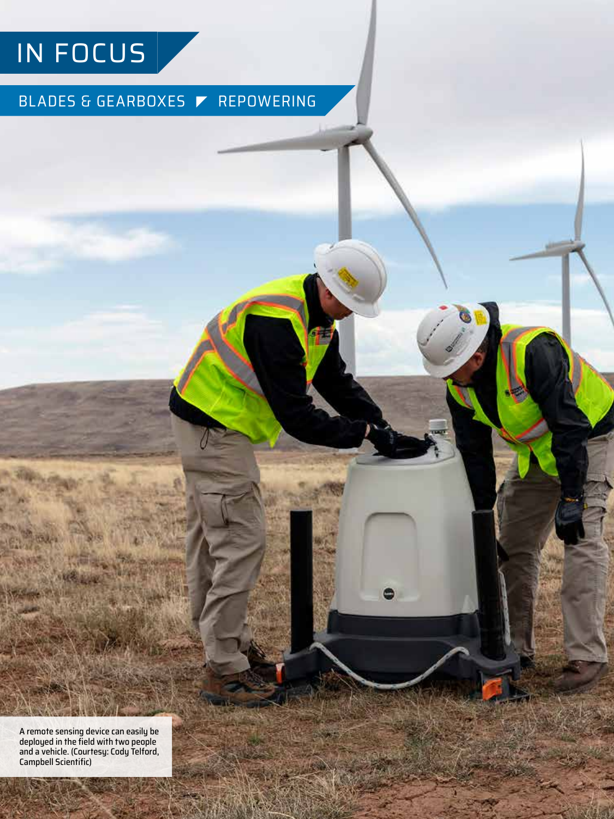## IN FOCUS

### BLADES & GEARBOXES REPOWERING

 $\bullet$ 

A remote sensing device can easily be deployed in the field with two people and a vehicle. (Courtesy: Cody Telford, Campbell Scientific)

**MANUSCRIPT**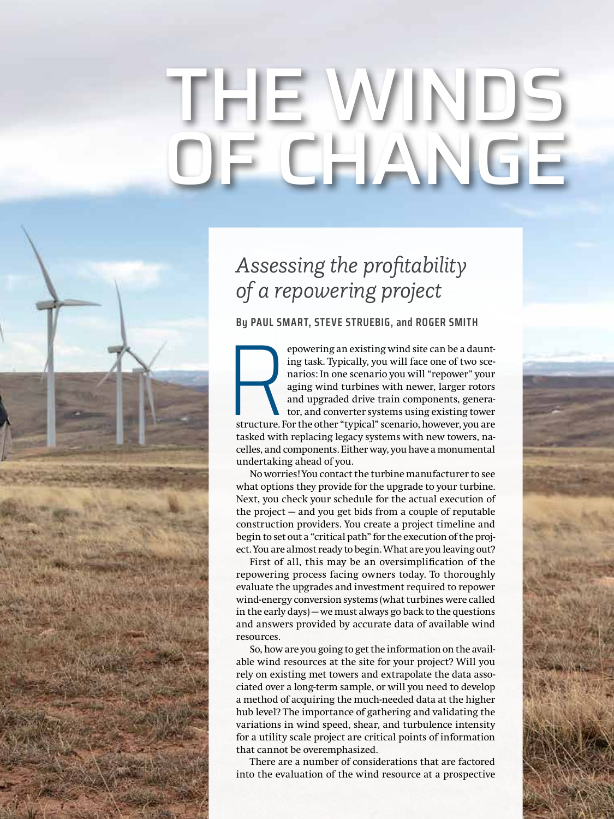# THE WINDS E CHIA

## *Assessing the profitability of a repowering project*

**By PAUL SMART, STEVE STRUEBIG, and ROGER SMITH**

Structure. F epowering an existing wind site can be a daunting task. Typically, you will face one of two scenarios: In one scenario you will "repower" your aging wind turbines with newer, larger rotors and upgraded drive train components, generator, and converter systems using existing tower structure. For the other "typical" scenario, however, you are tasked with replacing legacy systems with new towers, nacelles, and components. Either way, you have a monumental undertaking ahead of you.

No worries! You contact the turbine manufacturer to see what options they provide for the upgrade to your turbine. Next, you check your schedule for the actual execution of the project — and you get bids from a couple of reputable construction providers. You create a project timeline and begin to set out a "critical path" for the execution of the project. You are almost ready to begin. What are you leaving out?

First of all, this may be an oversimplification of the repowering process facing owners today. To thoroughly evaluate the upgrades and investment required to repower wind-energy conversion systems (what turbines were called in the early days) — we must always go back to the questions and answers provided by accurate data of available wind resources.

So, how are you going to get the information on the available wind resources at the site for your project? Will you rely on existing met towers and extrapolate the data associated over a long-term sample, or will you need to develop a method of acquiring the much-needed data at the higher hub level? The importance of gathering and validating the variations in wind speed, shear, and turbulence intensity for a utility scale project are critical points of information that cannot be overemphasized.

There are a number of considerations that are factored into the evaluation of the wind resource at a prospective

winds winds and the state of the state of the state of the state of the state of the state of the state of the state of the state of the state of the state of the state of the state of the state of the state of the state o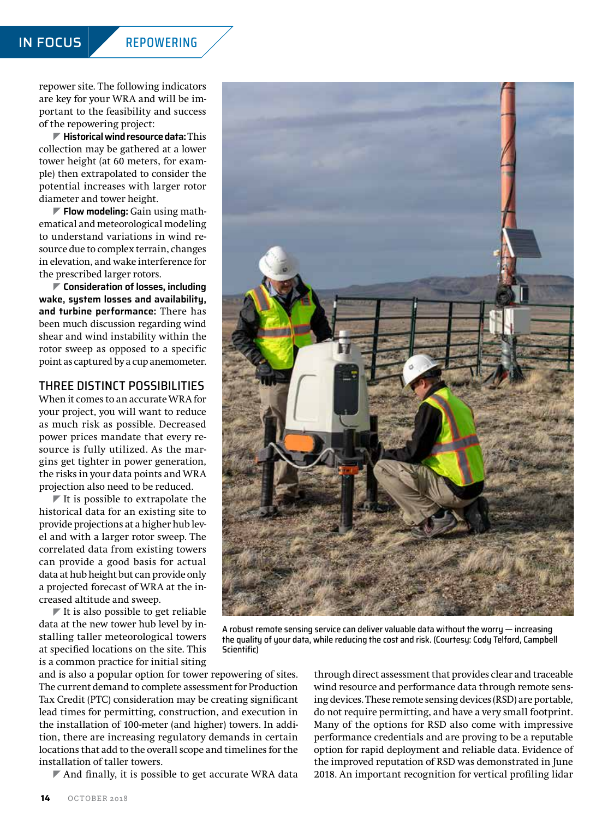repower site. The following indicators are key for your WRA and will be important to the feasibility and success of the repowering project:

] **Historical wind resource data:** This collection may be gathered at a lower tower height (at 60 meters, for example) then extrapolated to consider the potential increases with larger rotor diameter and tower height.

] **Flow modeling:** Gain using mathematical and meteorological modeling to understand variations in wind resource due to complex terrain, changes in elevation, and wake interference for the prescribed larger rotors.

] **Consideration of losses, including wake, system losses and availability, and turbine performance:** There has been much discussion regarding wind shear and wind instability within the rotor sweep as opposed to a specific point as captured by a cup anemometer.

#### THREE DISTINCT POSSIBILITIES

When it comes to an accurate WRA for your project, you will want to reduce as much risk as possible. Decreased power prices mandate that every resource is fully utilized. As the margins get tighter in power generation, the risks in your data points and WRA projection also need to be reduced.

 $\blacktriangleright$  It is possible to extrapolate the historical data for an existing site to provide projections at a higher hub level and with a larger rotor sweep. The correlated data from existing towers can provide a good basis for actual data at hub height but can provide only a projected forecast of WRA at the increased altitude and sweep.

 $\blacktriangleright$  It is also possible to get reliable data at the new tower hub level by installing taller meteorological towers at specified locations on the site. This is a common practice for initial siting

**14** OCTOBER 2018

and is also a popular option for tower repowering of sites. The current demand to complete assessment for Production Tax Credit (PTC) consideration may be creating significant lead times for permitting, construction, and execution in the installation of 100-meter (and higher) towers. In addition, there are increasing regulatory demands in certain locations that add to the overall scope and timelines for the installation of taller towers.

Scientific)

 $\blacktriangleright$  And finally, it is possible to get accurate WRA data

through direct assessment that provides clear and traceable wind resource and performance data through remote sensing devices. These remote sensing devices (RSD) are portable, do not require permitting, and have a very small footprint. Many of the options for RSD also come with impressive performance credentials and are proving to be a reputable option for rapid deployment and reliable data. Evidence of the improved reputation of RSD was demonstrated in June A robust remote sensing service can deliver valuable data without the worry — increasing the quality of your data, while reducing the cost and risk. (Courtesy: Cody Telford, Campbell

2018. An important recognition for vertical profiling lidar

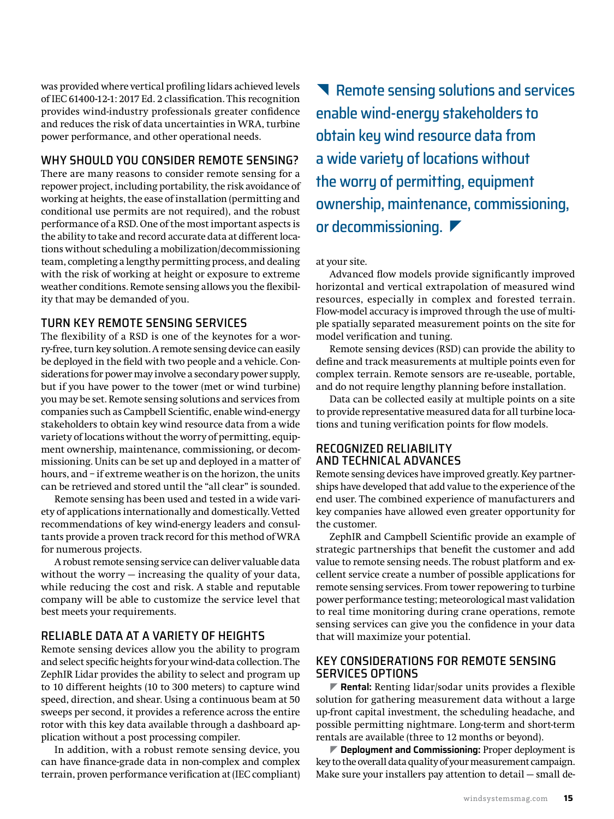was provided where vertical profiling lidars achieved levels of IEC 61400-12-1: 2017 Ed. 2 classification. This recognition provides wind-industry professionals greater confidence and reduces the risk of data uncertainties in WRA, turbine power performance, and other operational needs.

#### WHY SHOULD YOU CONSIDER REMOTE SENSING?

There are many reasons to consider remote sensing for a repower project, including portability, the risk avoidance of working at heights, the ease of installation (permitting and conditional use permits are not required), and the robust performance of a RSD. One of the most important aspects is the ability to take and record accurate data at different locations without scheduling a mobilization/decommissioning team, completing a lengthy permitting process, and dealing with the risk of working at height or exposure to extreme weather conditions. Remote sensing allows you the flexibility that may be demanded of you.

#### TURN KEY REMOTE SENSING SERVICES

The flexibility of a RSD is one of the keynotes for a worry-free, turn key solution. A remote sensing device can easily be deployed in the field with two people and a vehicle. Considerations for power may involve a secondary power supply, but if you have power to the tower (met or wind turbine) you may be set. Remote sensing solutions and services from companies such as Campbell Scientific, enable wind-energy stakeholders to obtain key wind resource data from a wide variety of locations without the worry of permitting, equipment ownership, maintenance, commissioning, or decommissioning. Units can be set up and deployed in a matter of hours, and – if extreme weather is on the horizon, the units can be retrieved and stored until the "all clear" is sounded.

Remote sensing has been used and tested in a wide variety of applications internationally and domestically. Vetted recommendations of key wind-energy leaders and consultants provide a proven track record for this method of WRA for numerous projects.

A robust remote sensing service can deliver valuable data without the worry — increasing the quality of your data, while reducing the cost and risk. A stable and reputable company will be able to customize the service level that best meets your requirements.

#### RELIABLE DATA AT A VARIETY OF HEIGHTS

Remote sensing devices allow you the ability to program and select specific heights for your wind-data collection. The ZephIR Lidar provides the ability to select and program up to 10 different heights (10 to 300 meters) to capture wind speed, direction, and shear. Using a continuous beam at 50 sweeps per second, it provides a reference across the entire rotor with this key data available through a dashboard application without a post processing compiler.

In addition, with a robust remote sensing device, you can have finance-grade data in non-complex and complex terrain, proven performance verification at (IEC compliant)

Remote sensing solutions and services enable wind-energy stakeholders to obtain key wind resource data from a wide variety of locations without the worry of permitting, equipment ownership, maintenance, commissioning, or decommissioning.

at your site.

Advanced flow models provide significantly improved horizontal and vertical extrapolation of measured wind resources, especially in complex and forested terrain. Flow-model accuracy is improved through the use of multiple spatially separated measurement points on the site for model verification and tuning.

Remote sensing devices (RSD) can provide the ability to define and track measurements at multiple points even for complex terrain. Remote sensors are re-useable, portable, and do not require lengthy planning before installation.

Data can be collected easily at multiple points on a site to provide representative measured data for all turbine locations and tuning verification points for flow models.

#### RECOGNIZED RELIABILITY AND TECHNICAL ADVANCES

Remote sensing devices have improved greatly. Key partnerships have developed that add value to the experience of the end user. The combined experience of manufacturers and key companies have allowed even greater opportunity for the customer.

ZephIR and Campbell Scientific provide an example of strategic partnerships that benefit the customer and add value to remote sensing needs. The robust platform and excellent service create a number of possible applications for remote sensing services. From tower repowering to turbine power performance testing; meteorological mast validation to real time monitoring during crane operations, remote sensing services can give you the confidence in your data that will maximize your potential.

#### KEY CONSIDERATIONS FOR REMOTE SENSING SERVICES OPTIONS

] **Rental:** Renting lidar/sodar units provides a flexible solution for gathering measurement data without a large up-front capital investment, the scheduling headache, and possible permitting nightmare. Long-term and short-term rentals are available (three to 12 months or beyond).

] **Deployment and Commissioning:** Proper deployment is key to the overall data quality of your measurement campaign. Make sure your installers pay attention to detail — small de-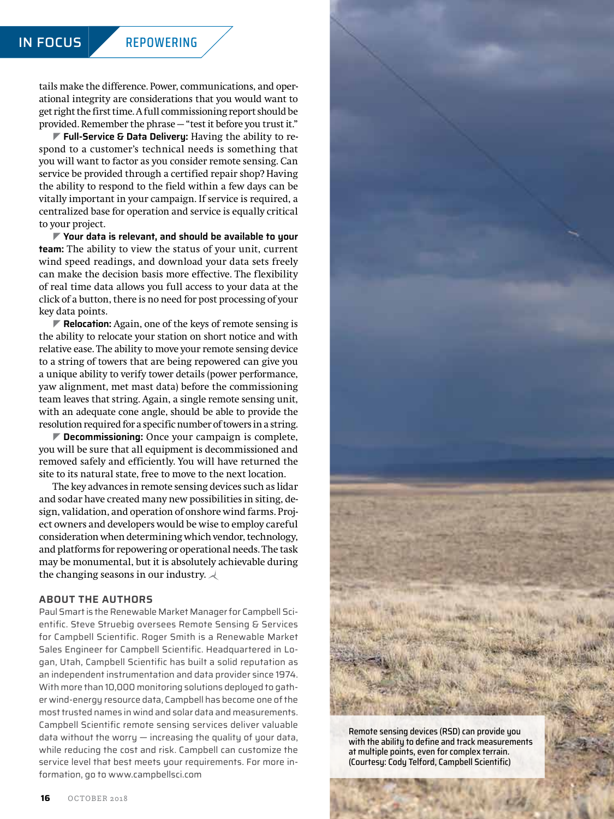#### IN FOCUS REPOWERING

tails make the difference. Power, communications, and operational integrity are considerations that you would want to get right the first time. A full commissioning report should be provided. Remember the phrase — "test it before you trust it."

] **Full-Service & Data Delivery:** Having the ability to respond to a customer's technical needs is something that you will want to factor as you consider remote sensing. Can service be provided through a certified repair shop? Having the ability to respond to the field within a few days can be vitally important in your campaign. If service is required, a centralized base for operation and service is equally critical to your project.

] **Your data is relevant, and should be available to your team:** The ability to view the status of your unit, current wind speed readings, and download your data sets freely can make the decision basis more effective. The flexibility of real time data allows you full access to your data at the click of a button, there is no need for post processing of your key data points.

**▼ Relocation:** Again, one of the keys of remote sensing is the ability to relocate your station on short notice and with relative ease. The ability to move your remote sensing device to a string of towers that are being repowered can give you a unique ability to verify tower details (power performance, yaw alignment, met mast data) before the commissioning team leaves that string. Again, a single remote sensing unit, with an adequate cone angle, should be able to provide the resolution required for a specific number of towers in a string.

] **Decommissioning:** Once your campaign is complete, you will be sure that all equipment is decommissioned and removed safely and efficiently. You will have returned the site to its natural state, free to move to the next location.

The key advances in remote sensing devices such as lidar and sodar have created many new possibilities in siting, design, validation, and operation of onshore wind farms. Project owners and developers would be wise to employ careful consideration when determining which vendor, technology, and platforms for repowering or operational needs. The task may be monumental, but it is absolutely achievable during the changing seasons in our industry.  $\prec$ 

#### **ABOUT THE AUTHORS**

Paul Smart is the Renewable Market Manager for Campbell Scientific. Steve Struebig oversees Remote Sensing & Services for Campbell Scientific. Roger Smith is a Renewable Market Sales Engineer for Campbell Scientific. Headquartered in Logan, Utah, Campbell Scientific has built a solid reputation as an independent instrumentation and data provider since 1974. With more than 10,000 monitoring solutions deployed to gather wind-energy resource data, Campbell has become one of the most trusted names in wind and solar data and measurements. Campbell Scientific remote sensing services deliver valuable data without the worry  $-$  increasing the quality of your data, while reducing the cost and risk. Campbell can customize the service level that best meets your requirements. For more information, go to [www.campbellsci.com](http://www.campbellsci.com)



Remote sensing devices (RSD) can provide you with the ability to define and track measurements at multiple points, even for complex terrain. (Courtesy: Cody Telford, Campbell Scientific)